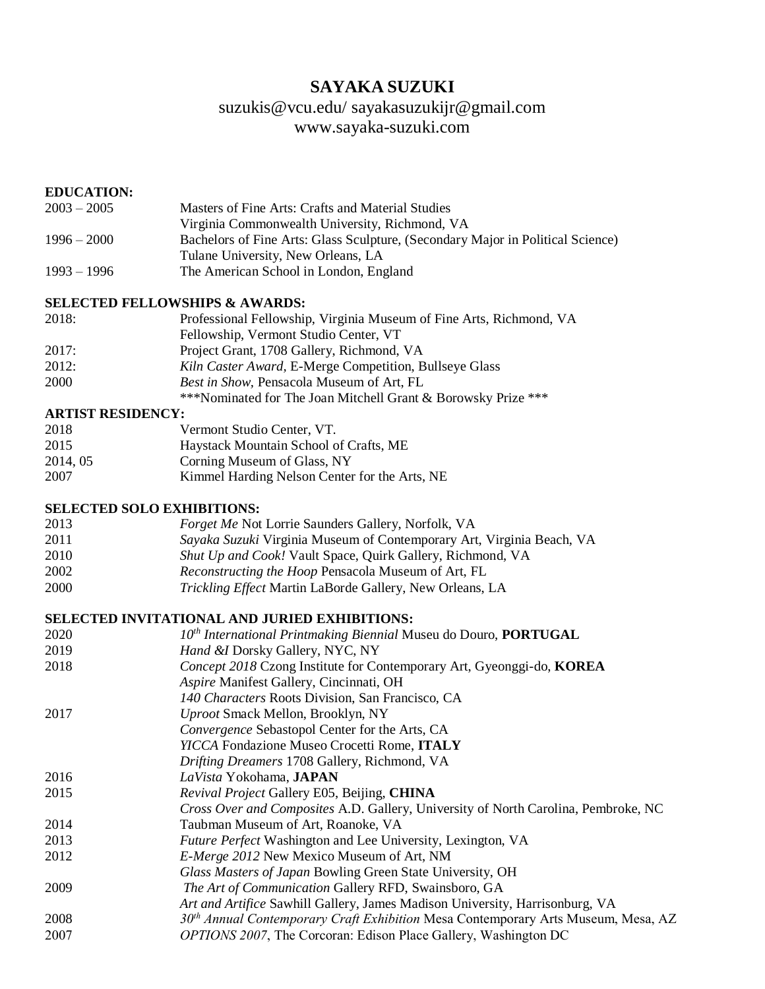# **SAYAKA SUZUKI**

# [suzukis@vcu.edu/](mailto:suzukis@vcu.edu/) sayakasuzukijr@gmail.com [www.sayaka-suzuki.com](http://www.sayaka-suzuki.com/)

## **EDUCATION:**

| $2003 - 2005$ | Masters of Fine Arts: Crafts and Material Studies                               |
|---------------|---------------------------------------------------------------------------------|
|               | Virginia Commonwealth University, Richmond, VA                                  |
| $1996 - 2000$ | Bachelors of Fine Arts: Glass Sculpture, (Secondary Major in Political Science) |
|               | Tulane University, New Orleans, LA                                              |
| $1993 - 1996$ | The American School in London, England                                          |

### **SELECTED FELLOWSHIPS & AWARDS:**

| 2018: | Professional Fellowship, Virginia Museum of Fine Arts, Richmond, VA |
|-------|---------------------------------------------------------------------|
|       | Fellowship, Vermont Studio Center, VT                               |
| 2017: | Project Grant, 1708 Gallery, Richmond, VA                           |
| 2012: | Kiln Caster Award, E-Merge Competition, Bullseye Glass              |
| 2000  | <i>Best in Show</i> , Pensacola Museum of Art, FL                   |
|       | ***Nominated for The Joan Mitchell Grant & Borowsky Prize ***       |

# **ARTIST RESIDENCY:**

| 2018     | Vermont Studio Center, VT.                    |
|----------|-----------------------------------------------|
| 2015     | Haystack Mountain School of Crafts, ME        |
| 2014, 05 | Corning Museum of Glass, NY                   |
| 2007     | Kimmel Harding Nelson Center for the Arts, NE |

## **SELECTED SOLO EXHIBITIONS:**

| 2013 | <i>Forget Me Not Lorrie Saunders Gallery, Norfolk, VA</i>             |
|------|-----------------------------------------------------------------------|
| 2011 | Sayaka Suzuki Virginia Museum of Contemporary Art, Virginia Beach, VA |
| 2010 | Shut Up and Cook! Vault Space, Quirk Gallery, Richmond, VA            |
| 2002 | <i>Reconstructing the Hoop Pensacola Museum of Art, FL</i>            |
| 2000 | Trickling Effect Martin LaBorde Gallery, New Orleans, LA              |

# **SELECTED INVITATIONAL AND JURIED EXHIBITIONS:**

| 2020 | $10th International Printing Biennial Museu do Douro, PORTUGAL$                               |
|------|-----------------------------------------------------------------------------------------------|
| 2019 | Hand & Dorsky Gallery, NYC, NY                                                                |
| 2018 | Concept 2018 Czong Institute for Contemporary Art, Gyeonggi-do, KOREA                         |
|      | Aspire Manifest Gallery, Cincinnati, OH                                                       |
|      | 140 Characters Roots Division, San Francisco, CA                                              |
| 2017 | Uproot Smack Mellon, Brooklyn, NY                                                             |
|      | Convergence Sebastopol Center for the Arts, CA                                                |
|      | YICCA Fondazione Museo Crocetti Rome, ITALY                                                   |
|      | Drifting Dreamers 1708 Gallery, Richmond, VA                                                  |
| 2016 | LaVista Yokohama, JAPAN                                                                       |
| 2015 | Revival Project Gallery E05, Beijing, CHINA                                                   |
|      | <i>Cross Over and Composites A.D. Gallery, University of North Carolina, Pembroke, NC</i>     |
| 2014 | Taubman Museum of Art, Roanoke, VA                                                            |
| 2013 | <i>Future Perfect</i> Washington and Lee University, Lexington, VA                            |
| 2012 | <i>E-Merge 2012</i> New Mexico Museum of Art, NM                                              |
|      | Glass Masters of Japan Bowling Green State University, OH                                     |
| 2009 | The Art of Communication Gallery RFD, Swainsboro, GA                                          |
|      | Art and Artifice Sawhill Gallery, James Madison University, Harrisonburg, VA                  |
| 2008 | 30 <sup>th</sup> Annual Contemporary Craft Exhibition Mesa Contemporary Arts Museum, Mesa, AZ |
| 2007 | OPTIONS 2007, The Corcoran: Edison Place Gallery, Washington DC                               |